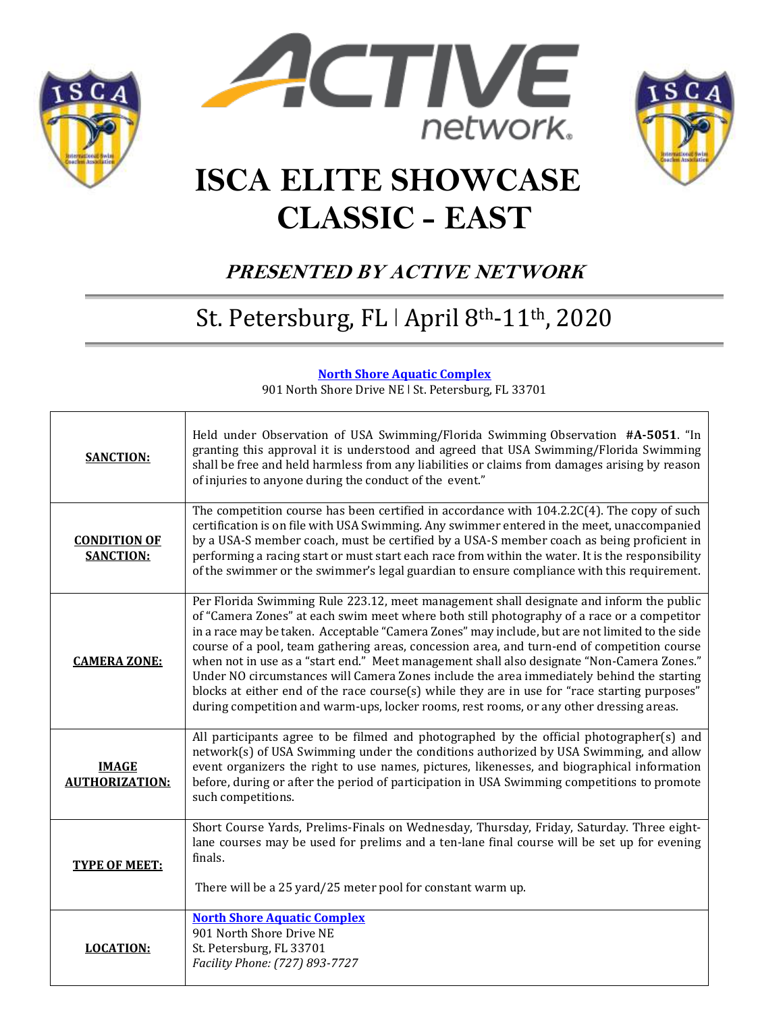





# **ISCA ELITE SHOWCASE CLASSIC - EAST**

## **PRESENTED BY ACTIVE NETWORK**

## St. Petersburg, FL | April 8th-11th, 2020

#### **North Shore Aquatic [Complex](http://www.stpeteparksrec.org/north-shore-aquatic-complex.html)**

901 North Shore Drive NE | St. Petersburg, FL 33701

| <b>SANCTION:</b>                        | Held under Observation of USA Swimming/Florida Swimming Observation #A-5051. "In<br>granting this approval it is understood and agreed that USA Swimming/Florida Swimming<br>shall be free and held harmless from any liabilities or claims from damages arising by reason<br>of injuries to anyone during the conduct of the event."                                                                                                                                                                                                                                                                                                                                                                                                                                         |
|-----------------------------------------|-------------------------------------------------------------------------------------------------------------------------------------------------------------------------------------------------------------------------------------------------------------------------------------------------------------------------------------------------------------------------------------------------------------------------------------------------------------------------------------------------------------------------------------------------------------------------------------------------------------------------------------------------------------------------------------------------------------------------------------------------------------------------------|
| <b>CONDITION OF</b><br><b>SANCTION:</b> | The competition course has been certified in accordance with $104.2.2C(4)$ . The copy of such<br>certification is on file with USA Swimming. Any swimmer entered in the meet, unaccompanied<br>by a USA-S member coach, must be certified by a USA-S member coach as being proficient in<br>performing a racing start or must start each race from within the water. It is the responsibility<br>of the swimmer or the swimmer's legal guardian to ensure compliance with this requirement.                                                                                                                                                                                                                                                                                   |
| <b>CAMERA ZONE:</b>                     | Per Florida Swimming Rule 223.12, meet management shall designate and inform the public<br>of "Camera Zones" at each swim meet where both still photography of a race or a competitor<br>in a race may be taken. Acceptable "Camera Zones" may include, but are not limited to the side<br>course of a pool, team gathering areas, concession area, and turn-end of competition course<br>when not in use as a "start end." Meet management shall also designate "Non-Camera Zones."<br>Under NO circumstances will Camera Zones include the area immediately behind the starting<br>blocks at either end of the race course(s) while they are in use for "race starting purposes"<br>during competition and warm-ups, locker rooms, rest rooms, or any other dressing areas. |
| <b>IMAGE</b><br><b>AUTHORIZATION:</b>   | All participants agree to be filmed and photographed by the official photographer(s) and<br>network(s) of USA Swimming under the conditions authorized by USA Swimming, and allow<br>event organizers the right to use names, pictures, likenesses, and biographical information<br>before, during or after the period of participation in USA Swimming competitions to promote<br>such competitions.                                                                                                                                                                                                                                                                                                                                                                         |
| <b>TYPE OF MEET:</b>                    | Short Course Yards, Prelims-Finals on Wednesday, Thursday, Friday, Saturday. Three eight-<br>lane courses may be used for prelims and a ten-lane final course will be set up for evening<br>finals.<br>There will be a 25 yard/25 meter pool for constant warm up.                                                                                                                                                                                                                                                                                                                                                                                                                                                                                                            |
| <b>LOCATION:</b>                        | <b>North Shore Aquatic Complex</b><br>901 North Shore Drive NE<br>St. Petersburg, FL 33701<br>Facility Phone: (727) 893-7727                                                                                                                                                                                                                                                                                                                                                                                                                                                                                                                                                                                                                                                  |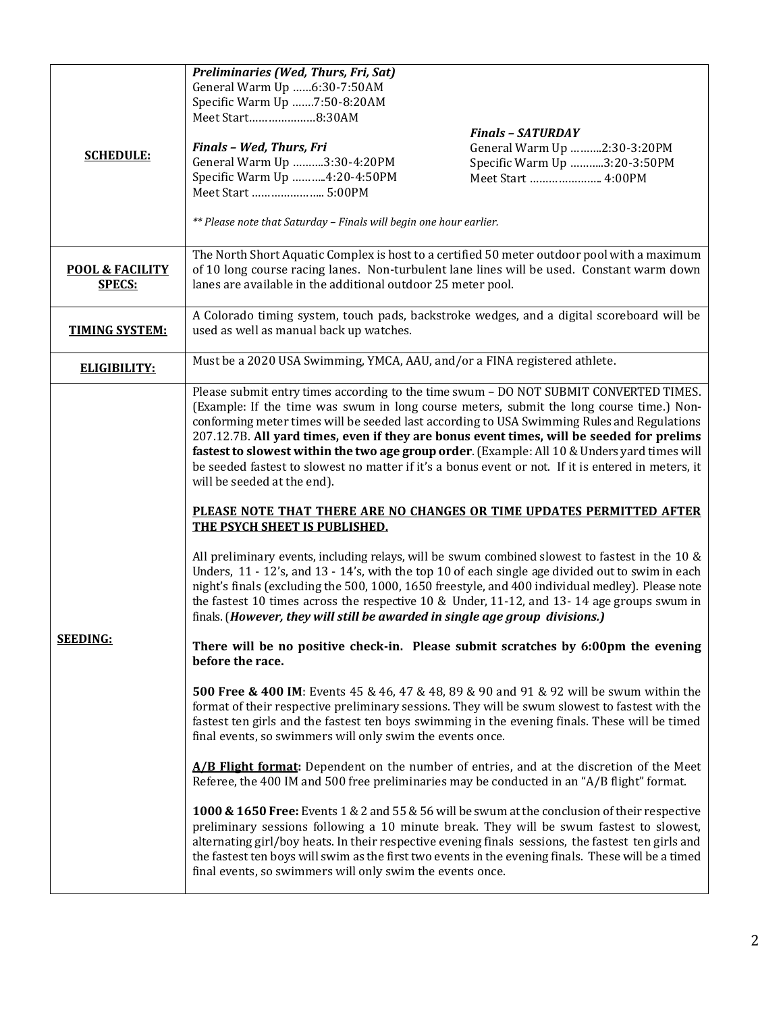|                            | Preliminaries (Wed, Thurs, Fri, Sat)                                                                                                                                                                |                              |  |  |  |  |
|----------------------------|-----------------------------------------------------------------------------------------------------------------------------------------------------------------------------------------------------|------------------------------|--|--|--|--|
|                            | General Warm Up 6:30-7:50AM                                                                                                                                                                         |                              |  |  |  |  |
|                            | Specific Warm Up 7:50-8:20AM<br>Meet Start8:30AM                                                                                                                                                    |                              |  |  |  |  |
|                            |                                                                                                                                                                                                     | <b>Finals - SATURDAY</b>     |  |  |  |  |
|                            | Finals - Wed, Thurs, Fri                                                                                                                                                                            | General Warm Up 2:30-3:20PM  |  |  |  |  |
| <b>SCHEDULE:</b>           | General Warm Up 3:30-4:20PM                                                                                                                                                                         | Specific Warm Up 3:20-3:50PM |  |  |  |  |
|                            | Specific Warm Up 4:20-4:50PM                                                                                                                                                                        | Meet Start  4:00PM           |  |  |  |  |
|                            |                                                                                                                                                                                                     |                              |  |  |  |  |
|                            | ** Please note that Saturday - Finals will begin one hour earlier.                                                                                                                                  |                              |  |  |  |  |
|                            | The North Short Aquatic Complex is host to a certified 50 meter outdoor pool with a maximum                                                                                                         |                              |  |  |  |  |
| <b>POOL &amp; FACILITY</b> | of 10 long course racing lanes. Non-turbulent lane lines will be used. Constant warm down                                                                                                           |                              |  |  |  |  |
| <b>SPECS:</b>              | lanes are available in the additional outdoor 25 meter pool.                                                                                                                                        |                              |  |  |  |  |
|                            |                                                                                                                                                                                                     |                              |  |  |  |  |
| <b>TIMING SYSTEM:</b>      | A Colorado timing system, touch pads, backstroke wedges, and a digital scoreboard will be<br>used as well as manual back up watches.                                                                |                              |  |  |  |  |
|                            |                                                                                                                                                                                                     |                              |  |  |  |  |
| <b>ELIGIBILITY:</b>        | Must be a 2020 USA Swimming, YMCA, AAU, and/or a FINA registered athlete.                                                                                                                           |                              |  |  |  |  |
|                            | Please submit entry times according to the time swum - DO NOT SUBMIT CONVERTED TIMES.                                                                                                               |                              |  |  |  |  |
|                            | (Example: If the time was swum in long course meters, submit the long course time.) Non-                                                                                                            |                              |  |  |  |  |
|                            | conforming meter times will be seeded last according to USA Swimming Rules and Regulations                                                                                                          |                              |  |  |  |  |
|                            | 207.12.7B. All yard times, even if they are bonus event times, will be seeded for prelims                                                                                                           |                              |  |  |  |  |
|                            | fastest to slowest within the two age group order. (Example: All 10 & Unders yard times will<br>be seeded fastest to slowest no matter if it's a bonus event or not. If it is entered in meters, it |                              |  |  |  |  |
|                            | will be seeded at the end).                                                                                                                                                                         |                              |  |  |  |  |
|                            |                                                                                                                                                                                                     |                              |  |  |  |  |
|                            | PLEASE NOTE THAT THERE ARE NO CHANGES OR TIME UPDATES PERMITTED AFTER                                                                                                                               |                              |  |  |  |  |
|                            | THE PSYCH SHEET IS PUBLISHED.                                                                                                                                                                       |                              |  |  |  |  |
|                            | All preliminary events, including relays, will be swum combined slowest to fastest in the 10 $\&$                                                                                                   |                              |  |  |  |  |
|                            | Unders, 11 - 12's, and 13 - 14's, with the top 10 of each single age divided out to swim in each                                                                                                    |                              |  |  |  |  |
|                            | night's finals (excluding the 500, 1000, 1650 freestyle, and 400 individual medley). Please note<br>the fastest 10 times across the respective 10 & Under, 11-12, and 13-14 age groups swum in      |                              |  |  |  |  |
|                            | finals. (However, they will still be awarded in single age group divisions.)                                                                                                                        |                              |  |  |  |  |
| <b>SEEDING:</b>            | There will be no positive check-in. Please submit scratches by 6:00pm the evening<br>before the race.                                                                                               |                              |  |  |  |  |
|                            |                                                                                                                                                                                                     |                              |  |  |  |  |
|                            | 500 Free & 400 IM: Events 45 & 46, 47 & 48, 89 & 90 and 91 & 92 will be swum within the                                                                                                             |                              |  |  |  |  |
|                            | format of their respective preliminary sessions. They will be swum slowest to fastest with the                                                                                                      |                              |  |  |  |  |
|                            | fastest ten girls and the fastest ten boys swimming in the evening finals. These will be timed                                                                                                      |                              |  |  |  |  |
|                            | final events, so swimmers will only swim the events once.                                                                                                                                           |                              |  |  |  |  |
|                            | A/B Flight format: Dependent on the number of entries, and at the discretion of the Meet                                                                                                            |                              |  |  |  |  |
|                            | Referee, the 400 IM and 500 free preliminaries may be conducted in an "A/B flight" format.                                                                                                          |                              |  |  |  |  |
|                            | 1000 & 1650 Free: Events 1 & 2 and 55 & 56 will be swum at the conclusion of their respective                                                                                                       |                              |  |  |  |  |
|                            | preliminary sessions following a 10 minute break. They will be swum fastest to slowest,                                                                                                             |                              |  |  |  |  |
|                            | alternating girl/boy heats. In their respective evening finals sessions, the fastest ten girls and                                                                                                  |                              |  |  |  |  |
|                            | the fastest ten boys will swim as the first two events in the evening finals. These will be a timed<br>final events, so swimmers will only swim the events once.                                    |                              |  |  |  |  |
|                            |                                                                                                                                                                                                     |                              |  |  |  |  |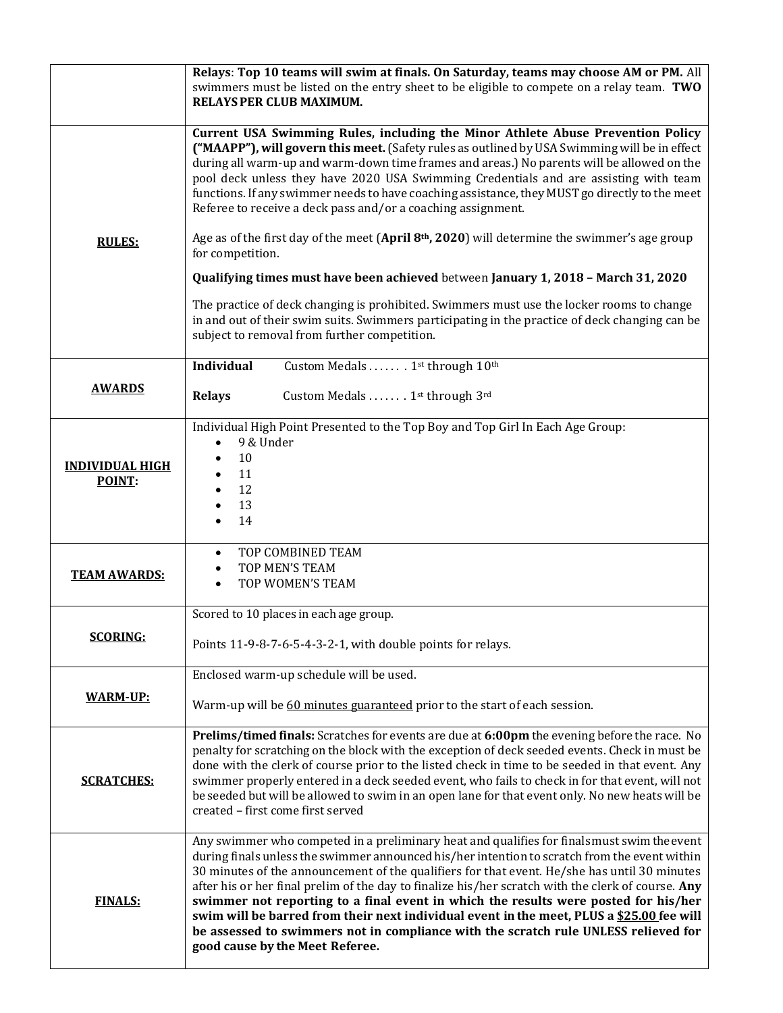|                                  | Relays: Top 10 teams will swim at finals. On Saturday, teams may choose AM or PM. All<br>swimmers must be listed on the entry sheet to be eligible to compete on a relay team. TWO<br>RELAYS PER CLUB MAXIMUM.                                                                                                                                                                                                                                                                                                                                                                                                                                                                                                   |  |  |  |  |  |  |
|----------------------------------|------------------------------------------------------------------------------------------------------------------------------------------------------------------------------------------------------------------------------------------------------------------------------------------------------------------------------------------------------------------------------------------------------------------------------------------------------------------------------------------------------------------------------------------------------------------------------------------------------------------------------------------------------------------------------------------------------------------|--|--|--|--|--|--|
|                                  | Current USA Swimming Rules, including the Minor Athlete Abuse Prevention Policy<br>("MAAPP"), will govern this meet. (Safety rules as outlined by USA Swimming will be in effect<br>during all warm-up and warm-down time frames and areas.) No parents will be allowed on the<br>pool deck unless they have 2020 USA Swimming Credentials and are assisting with team<br>functions. If any swimmer needs to have coaching assistance, they MUST go directly to the meet<br>Referee to receive a deck pass and/or a coaching assignment.                                                                                                                                                                         |  |  |  |  |  |  |
| <b>RULES:</b>                    | Age as of the first day of the meet (April 8 <sup>th</sup> , 2020) will determine the swimmer's age group<br>for competition.                                                                                                                                                                                                                                                                                                                                                                                                                                                                                                                                                                                    |  |  |  |  |  |  |
|                                  | Qualifying times must have been achieved between January 1, 2018 - March 31, 2020                                                                                                                                                                                                                                                                                                                                                                                                                                                                                                                                                                                                                                |  |  |  |  |  |  |
|                                  | The practice of deck changing is prohibited. Swimmers must use the locker rooms to change<br>in and out of their swim suits. Swimmers participating in the practice of deck changing can be<br>subject to removal from further competition.                                                                                                                                                                                                                                                                                                                                                                                                                                                                      |  |  |  |  |  |  |
|                                  | <b>Individual</b><br>Custom Medals  1st through 10th                                                                                                                                                                                                                                                                                                                                                                                                                                                                                                                                                                                                                                                             |  |  |  |  |  |  |
| <b>AWARDS</b>                    | <b>Relays</b><br>Custom Medals 1st through 3rd                                                                                                                                                                                                                                                                                                                                                                                                                                                                                                                                                                                                                                                                   |  |  |  |  |  |  |
| <b>INDIVIDUAL HIGH</b><br>POINT: | Individual High Point Presented to the Top Boy and Top Girl In Each Age Group:<br>9 & Under<br>10<br>$\bullet$<br>11<br>12<br>$\bullet$<br>13<br>14                                                                                                                                                                                                                                                                                                                                                                                                                                                                                                                                                              |  |  |  |  |  |  |
| <b>TEAM AWARDS:</b>              | TOP COMBINED TEAM<br>$\bullet$<br>TOP MEN'S TEAM<br>$\bullet$<br>TOP WOMEN'S TEAM<br>$\bullet$                                                                                                                                                                                                                                                                                                                                                                                                                                                                                                                                                                                                                   |  |  |  |  |  |  |
|                                  | Scored to 10 places in each age group.                                                                                                                                                                                                                                                                                                                                                                                                                                                                                                                                                                                                                                                                           |  |  |  |  |  |  |
| <b>SCORING:</b>                  | Points 11-9-8-7-6-5-4-3-2-1, with double points for relays.                                                                                                                                                                                                                                                                                                                                                                                                                                                                                                                                                                                                                                                      |  |  |  |  |  |  |
| <u>WARM-UP:</u>                  | Enclosed warm-up schedule will be used.                                                                                                                                                                                                                                                                                                                                                                                                                                                                                                                                                                                                                                                                          |  |  |  |  |  |  |
|                                  | Warm-up will be 60 minutes guaranteed prior to the start of each session.                                                                                                                                                                                                                                                                                                                                                                                                                                                                                                                                                                                                                                        |  |  |  |  |  |  |
| <b>SCRATCHES:</b>                | Prelims/timed finals: Scratches for events are due at 6:00pm the evening before the race. No<br>penalty for scratching on the block with the exception of deck seeded events. Check in must be<br>done with the clerk of course prior to the listed check in time to be seeded in that event. Any<br>swimmer properly entered in a deck seeded event, who fails to check in for that event, will not<br>be seeded but will be allowed to swim in an open lane for that event only. No new heats will be<br>created - first come first served                                                                                                                                                                     |  |  |  |  |  |  |
| <b>FINALS:</b>                   | Any swimmer who competed in a preliminary heat and qualifies for finals must swim the event<br>during finals unless the swimmer announced his/her intention to scratch from the event within<br>30 minutes of the announcement of the qualifiers for that event. He/she has until 30 minutes<br>after his or her final prelim of the day to finalize his/her scratch with the clerk of course. Any<br>swimmer not reporting to a final event in which the results were posted for his/her<br>swim will be barred from their next individual event in the meet, PLUS a \$25.00 fee will<br>be assessed to swimmers not in compliance with the scratch rule UNLESS relieved for<br>good cause by the Meet Referee. |  |  |  |  |  |  |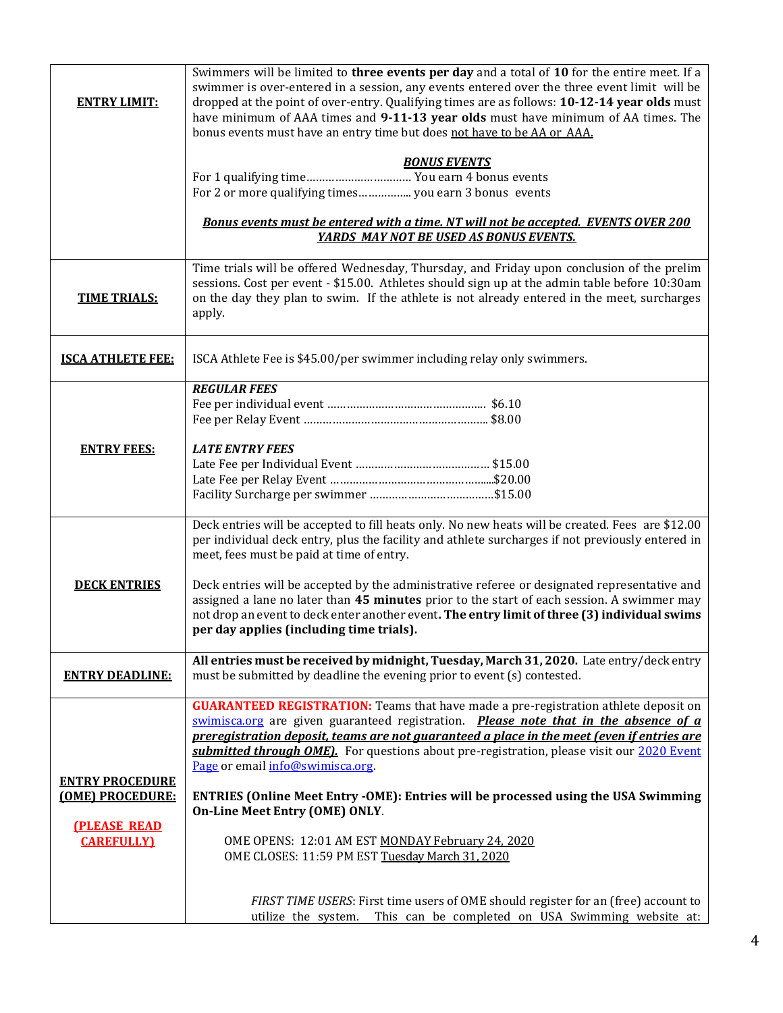| <b>ENTRY LIMIT:</b>                      | Swimmers will be limited to three events per day and a total of 10 for the entire meet. If a<br>swimmer is over-entered in a session, any events entered over the three event limit will be<br>dropped at the point of over-entry. Qualifying times are as follows: 10-12-14 year olds must<br>have minimum of AAA times and 9-11-13 year olds must have minimum of AA times. The<br>bonus events must have an entry time but does not have to be AA or AAA. |  |  |  |  |  |
|------------------------------------------|--------------------------------------------------------------------------------------------------------------------------------------------------------------------------------------------------------------------------------------------------------------------------------------------------------------------------------------------------------------------------------------------------------------------------------------------------------------|--|--|--|--|--|
|                                          | <b>BONUS EVENTS</b><br>For 1 qualifying time You earn 4 bonus events                                                                                                                                                                                                                                                                                                                                                                                         |  |  |  |  |  |
|                                          | Bonus events must be entered with a time. NT will not be accepted. EVENTS OVER 200<br>YARDS MAY NOT BE USED AS BONUS EVENTS.                                                                                                                                                                                                                                                                                                                                 |  |  |  |  |  |
| <b>TIME TRIALS:</b>                      | Time trials will be offered Wednesday, Thursday, and Friday upon conclusion of the prelim<br>sessions. Cost per event - \$15.00. Athletes should sign up at the admin table before 10:30am<br>on the day they plan to swim. If the athlete is not already entered in the meet, surcharges<br>apply.                                                                                                                                                          |  |  |  |  |  |
| <b>ISCA ATHLETE FEE:</b>                 | ISCA Athlete Fee is \$45.00/per swimmer including relay only swimmers.                                                                                                                                                                                                                                                                                                                                                                                       |  |  |  |  |  |
|                                          | <b>REGULAR FEES</b>                                                                                                                                                                                                                                                                                                                                                                                                                                          |  |  |  |  |  |
| <b>ENTRY FEES:</b>                       | <b>LATE ENTRY FEES</b>                                                                                                                                                                                                                                                                                                                                                                                                                                       |  |  |  |  |  |
|                                          | Deck entries will be accepted to fill heats only. No new heats will be created. Fees are \$12.00<br>per individual deck entry, plus the facility and athlete surcharges if not previously entered in<br>meet, fees must be paid at time of entry.                                                                                                                                                                                                            |  |  |  |  |  |
| <b>DECK ENTRIES</b>                      | Deck entries will be accepted by the administrative referee or designated representative and<br>assigned a lane no later than 45 minutes prior to the start of each session. A swimmer may<br>not drop an event to deck enter another event. The entry limit of three (3) individual swims<br>per day applies (including time trials).                                                                                                                       |  |  |  |  |  |
| <b>ENTRY DEADLINE:</b>                   | All entries must be received by midnight, Tuesday, March 31, 2020. Late entry/deck entry<br>must be submitted by deadline the evening prior to event (s) contested.                                                                                                                                                                                                                                                                                          |  |  |  |  |  |
| <b>ENTRY PROCEDURE</b>                   | <b>GUARANTEED REGISTRATION:</b> Teams that have made a pre-registration athlete deposit on<br>swimisca.org are given guaranteed registration. Please note that in the absence of a<br>preregistration deposit, teams are not guaranteed a place in the meet (even if entries are<br><b>submitted through OME)</b> . For questions about pre-registration, please visit our 2020 Event<br>Page or email info@swimisca.org                                     |  |  |  |  |  |
| (OME) PROCEDURE:                         | <b>ENTRIES (Online Meet Entry -OME): Entries will be processed using the USA Swimming</b><br>On-Line Meet Entry (OME) ONLY.                                                                                                                                                                                                                                                                                                                                  |  |  |  |  |  |
| <b>(PLEASE READ)</b><br><b>CAREFULLY</b> | OME OPENS: 12:01 AM EST MONDAY February 24, 2020<br>OME CLOSES: 11:59 PM EST Tuesday March 31, 2020                                                                                                                                                                                                                                                                                                                                                          |  |  |  |  |  |
|                                          | FIRST TIME USERS: First time users of OME should register for an (free) account to<br>utilize the system. This can be completed on USA Swimming website at:                                                                                                                                                                                                                                                                                                  |  |  |  |  |  |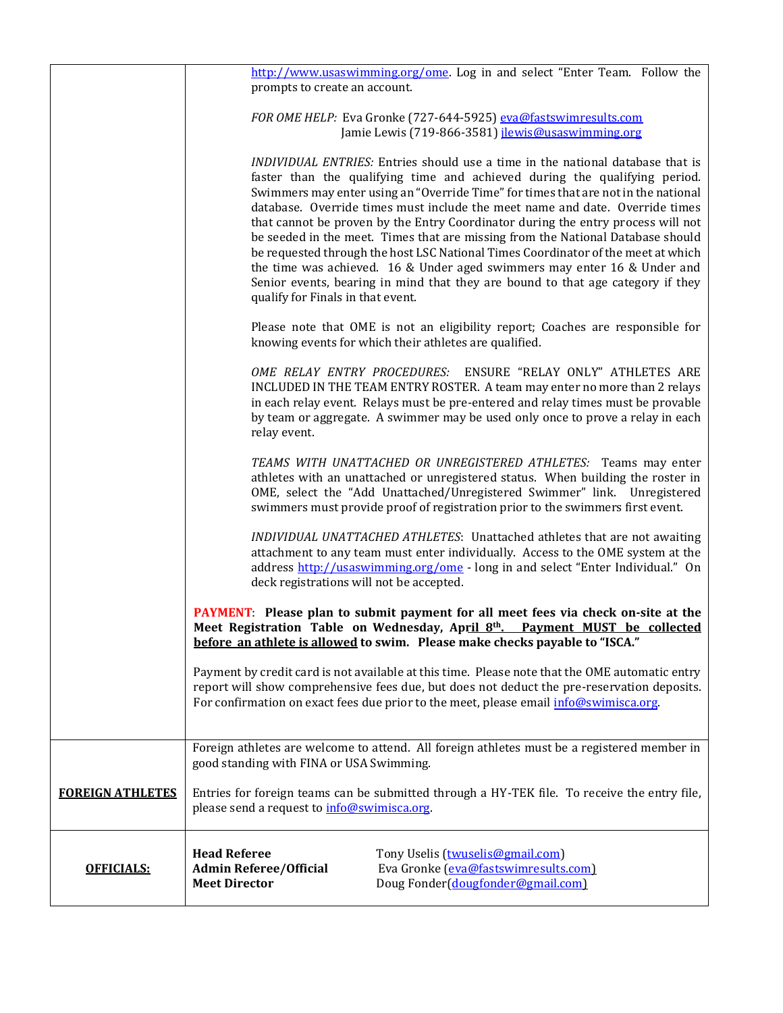|                         | http://www.usaswimming.org/ome. Log in and select "Enter Team. Follow the                                                                                          |  |  |  |  |  |  |
|-------------------------|--------------------------------------------------------------------------------------------------------------------------------------------------------------------|--|--|--|--|--|--|
|                         | prompts to create an account.                                                                                                                                      |  |  |  |  |  |  |
|                         | FOR OME HELP: Eva Gronke (727-644-5925) eva@fastswimresults.com                                                                                                    |  |  |  |  |  |  |
|                         | Jamie Lewis (719-866-3581) jlewis@usaswimming.org                                                                                                                  |  |  |  |  |  |  |
|                         |                                                                                                                                                                    |  |  |  |  |  |  |
|                         | INDIVIDUAL ENTRIES: Entries should use a time in the national database that is<br>faster than the qualifying time and achieved during the qualifying period.       |  |  |  |  |  |  |
|                         | Swimmers may enter using an "Override Time" for times that are not in the national                                                                                 |  |  |  |  |  |  |
|                         | database. Override times must include the meet name and date. Override times<br>that cannot be proven by the Entry Coordinator during the entry process will not   |  |  |  |  |  |  |
|                         | be seeded in the meet. Times that are missing from the National Database should                                                                                    |  |  |  |  |  |  |
|                         | be requested through the host LSC National Times Coordinator of the meet at which<br>the time was achieved. 16 & Under aged swimmers may enter 16 & Under and      |  |  |  |  |  |  |
|                         | Senior events, bearing in mind that they are bound to that age category if they                                                                                    |  |  |  |  |  |  |
|                         | qualify for Finals in that event.                                                                                                                                  |  |  |  |  |  |  |
|                         | Please note that OME is not an eligibility report; Coaches are responsible for                                                                                     |  |  |  |  |  |  |
|                         | knowing events for which their athletes are qualified.                                                                                                             |  |  |  |  |  |  |
|                         | OME RELAY ENTRY PROCEDURES: ENSURE "RELAY ONLY" ATHLETES ARE                                                                                                       |  |  |  |  |  |  |
|                         | INCLUDED IN THE TEAM ENTRY ROSTER. A team may enter no more than 2 relays                                                                                          |  |  |  |  |  |  |
|                         | in each relay event. Relays must be pre-entered and relay times must be provable<br>by team or aggregate. A swimmer may be used only once to prove a relay in each |  |  |  |  |  |  |
|                         | relay event.                                                                                                                                                       |  |  |  |  |  |  |
|                         | TEAMS WITH UNATTACHED OR UNREGISTERED ATHLETES: Teams may enter                                                                                                    |  |  |  |  |  |  |
|                         | athletes with an unattached or unregistered status. When building the roster in                                                                                    |  |  |  |  |  |  |
|                         | OME, select the "Add Unattached/Unregistered Swimmer" link. Unregistered<br>swimmers must provide proof of registration prior to the swimmers first event.         |  |  |  |  |  |  |
|                         |                                                                                                                                                                    |  |  |  |  |  |  |
|                         | INDIVIDUAL UNATTACHED ATHLETES: Unattached athletes that are not awaiting<br>attachment to any team must enter individually. Access to the OME system at the       |  |  |  |  |  |  |
|                         | address http://usaswimming.org/ome - long in and select "Enter Individual." On                                                                                     |  |  |  |  |  |  |
|                         | deck registrations will not be accepted.                                                                                                                           |  |  |  |  |  |  |
|                         | <b>PAYMENT:</b> Please plan to submit payment for all meet fees via check on-site at the                                                                           |  |  |  |  |  |  |
|                         | Meet Registration Table on Wednesday, April 8th. Payment MUST be collected<br>before an athlete is allowed to swim. Please make checks payable to "ISCA."          |  |  |  |  |  |  |
|                         | Payment by credit card is not available at this time. Please note that the OME automatic entry                                                                     |  |  |  |  |  |  |
|                         | report will show comprehensive fees due, but does not deduct the pre-reservation deposits.                                                                         |  |  |  |  |  |  |
|                         | For confirmation on exact fees due prior to the meet, please email info@swimisca.org.                                                                              |  |  |  |  |  |  |
|                         |                                                                                                                                                                    |  |  |  |  |  |  |
|                         | Foreign athletes are welcome to attend. All foreign athletes must be a registered member in<br>good standing with FINA or USA Swimming.                            |  |  |  |  |  |  |
|                         |                                                                                                                                                                    |  |  |  |  |  |  |
| <b>FOREIGN ATHLETES</b> | Entries for foreign teams can be submitted through a HY-TEK file. To receive the entry file,<br>please send a request to info@swimisca.org.                        |  |  |  |  |  |  |
|                         |                                                                                                                                                                    |  |  |  |  |  |  |
|                         | <b>Head Referee</b><br>Tony Uselis (twuselis@gmail.com)                                                                                                            |  |  |  |  |  |  |
| <b>OFFICIALS:</b>       | Eva Gronke (eva@fastswimresults.com)<br><b>Admin Referee/Official</b>                                                                                              |  |  |  |  |  |  |
|                         | Doug Fonder (dougfonder@gmail.com)<br><b>Meet Director</b>                                                                                                         |  |  |  |  |  |  |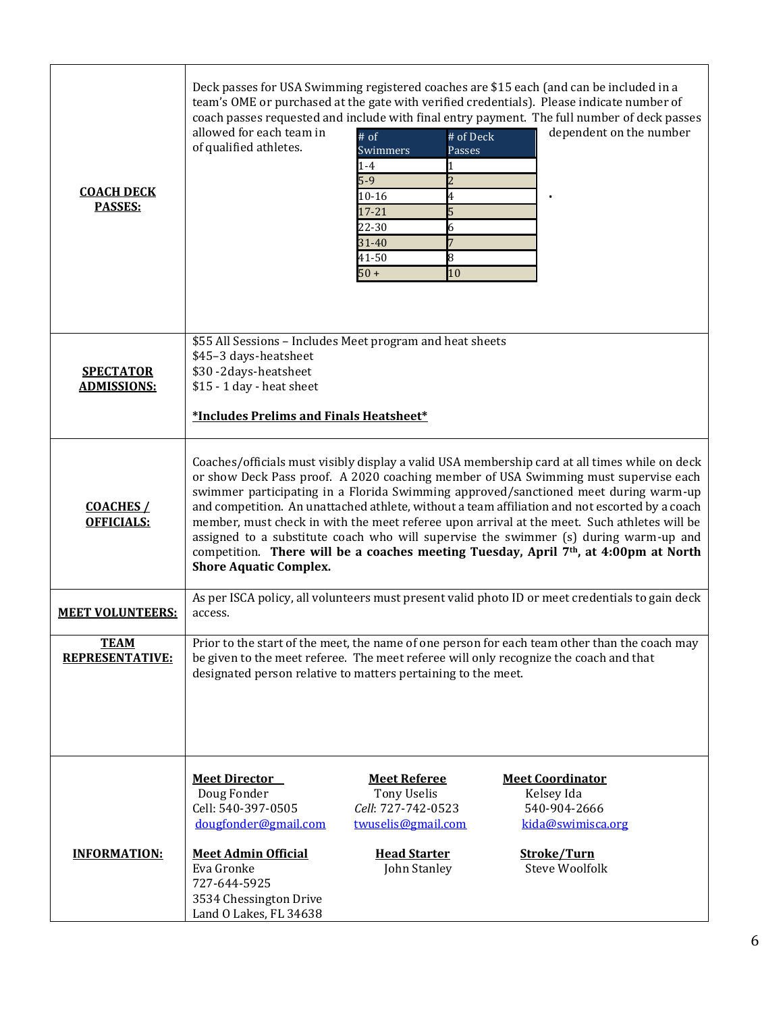| <b>COACH DECK</b><br>PASSES:           | Deck passes for USA Swimming registered coaches are \$15 each (and can be included in a<br>team's OME or purchased at the gate with verified credentials). Please indicate number of<br>coach passes requested and include with final entry payment. The full number of deck passes<br>allowed for each team in<br>dependent on the number<br># of Deck<br>$#$ of<br>of qualified athletes.<br>Swimmers<br>Passes<br>$1 - 4$<br>$5-9$<br>10-16<br>4<br>$17 - 21$<br>22-30<br>6<br>31-40<br>8<br>41-50<br>$50+$<br>10                                                                                                                                                                         |  |  |  |  |  |  |
|----------------------------------------|----------------------------------------------------------------------------------------------------------------------------------------------------------------------------------------------------------------------------------------------------------------------------------------------------------------------------------------------------------------------------------------------------------------------------------------------------------------------------------------------------------------------------------------------------------------------------------------------------------------------------------------------------------------------------------------------|--|--|--|--|--|--|
| <b>SPECTATOR</b><br><b>ADMISSIONS:</b> | \$55 All Sessions - Includes Meet program and heat sheets<br>\$45-3 days-heatsheet<br>\$30-2 days-heatsheet<br>\$15 - 1 day - heat sheet<br>*Includes Prelims and Finals Heatsheet*                                                                                                                                                                                                                                                                                                                                                                                                                                                                                                          |  |  |  |  |  |  |
| <b>COACHES /</b><br><b>OFFICIALS:</b>  | Coaches/officials must visibly display a valid USA membership card at all times while on deck<br>or show Deck Pass proof. A 2020 coaching member of USA Swimming must supervise each<br>swimmer participating in a Florida Swimming approved/sanctioned meet during warm-up<br>and competition. An unattached athlete, without a team affiliation and not escorted by a coach<br>member, must check in with the meet referee upon arrival at the meet. Such athletes will be<br>assigned to a substitute coach who will supervise the swimmer (s) during warm-up and<br>competition. There will be a coaches meeting Tuesday, April 7th, at 4:00pm at North<br><b>Shore Aquatic Complex.</b> |  |  |  |  |  |  |
| <b>MEET VOLUNTEERS:</b>                | As per ISCA policy, all volunteers must present valid photo ID or meet credentials to gain deck<br>access.                                                                                                                                                                                                                                                                                                                                                                                                                                                                                                                                                                                   |  |  |  |  |  |  |
| <b>TEAM</b><br><b>REPRESENTATIVE:</b>  | Prior to the start of the meet, the name of one person for each team other than the coach may<br>be given to the meet referee. The meet referee will only recognize the coach and that<br>designated person relative to matters pertaining to the meet.                                                                                                                                                                                                                                                                                                                                                                                                                                      |  |  |  |  |  |  |
| <b>INFORMATION:</b>                    | <b>Meet Director</b><br><b>Meet Referee</b><br><b>Meet Coordinator</b><br>Doug Fonder<br><b>Tony Uselis</b><br>Kelsey Ida<br>Cell: 540-397-0505<br>Cell: 727-742-0523<br>540-904-2666<br>dougfonder@gmail.com<br>twuselis@gmail.com<br>kida@swimisca.org<br><b>Meet Admin Official</b><br><b>Head Starter</b><br>Stroke/Turn<br><b>Steve Woolfolk</b><br>Eva Gronke<br>John Stanley<br>727-644-5925                                                                                                                                                                                                                                                                                          |  |  |  |  |  |  |
|                                        | 3534 Chessington Drive<br>Land O Lakes, FL 34638                                                                                                                                                                                                                                                                                                                                                                                                                                                                                                                                                                                                                                             |  |  |  |  |  |  |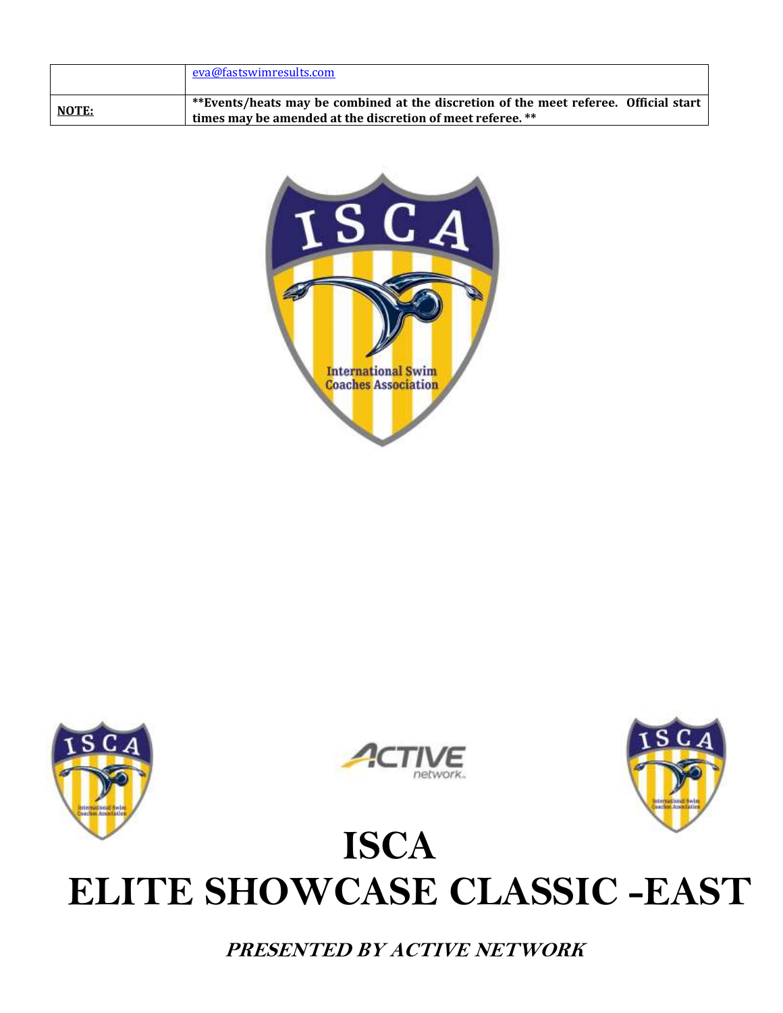|       | eva@fastswimresults.com                                                                                                                            |
|-------|----------------------------------------------------------------------------------------------------------------------------------------------------|
| NOTE: | **Events/heats may be combined at the discretion of the meet referee. Official start<br>times may be amended at the discretion of meet referee. ** |









# **ISCA ELITE SHOWCASE CLASSIC -EAST**

**PRESENTED BY ACTIVE NETWORK**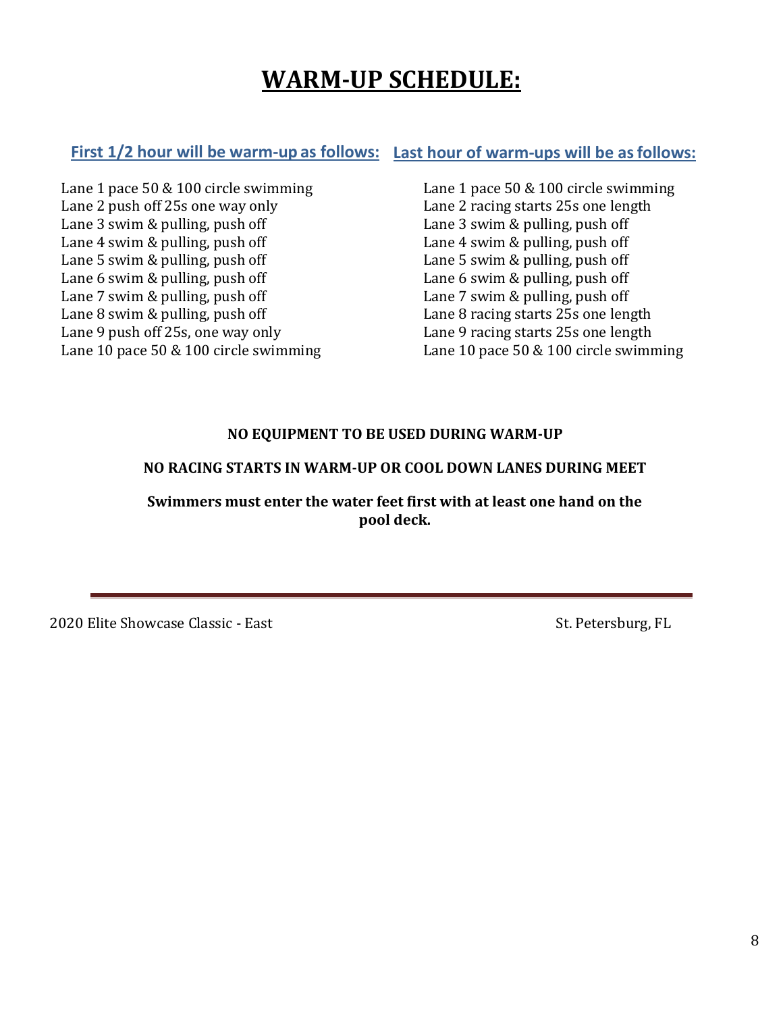## **WARM-UP SCHEDULE:**

### **First 1/2 hour will be warm-up as follows: Last hour of warm-ups will be asfollows:**

Lane 1 pace 50 & 100 circle swimming Lane 2 push off 25s one way only Lane 3 swim & pulling, push off Lane 4 swim & pulling, push off Lane 5 swim & pulling, push off Lane 6 swim & pulling, push off Lane 7 swim & pulling, push off Lane 8 swim & pulling, push off Lane 9 push off 25s, one way only Lane 10 pace 50 & 100 circle swimming Lane 1 pace 50 & 100 circle swimming Lane 2 racing starts 25s one length Lane 3 swim & pulling, push off Lane 4 swim & pulling, push off Lane 5 swim & pulling, push off Lane 6 swim & pulling, push off Lane 7 swim & pulling, push off Lane 8 racing starts 25s one length Lane 9 racing starts 25s one length Lane 10 pace 50 & 100 circle swimming

### **NO EQUIPMENT TO BE USED DURING WARM-UP**

### **NO RACING STARTS IN WARM-UP OR COOL DOWN LANES DURING MEET**

Swimmers must enter the water feet first with at least one hand on the **pool deck.**

2020 Elite Showcase Classic - East St. Petersburg, FL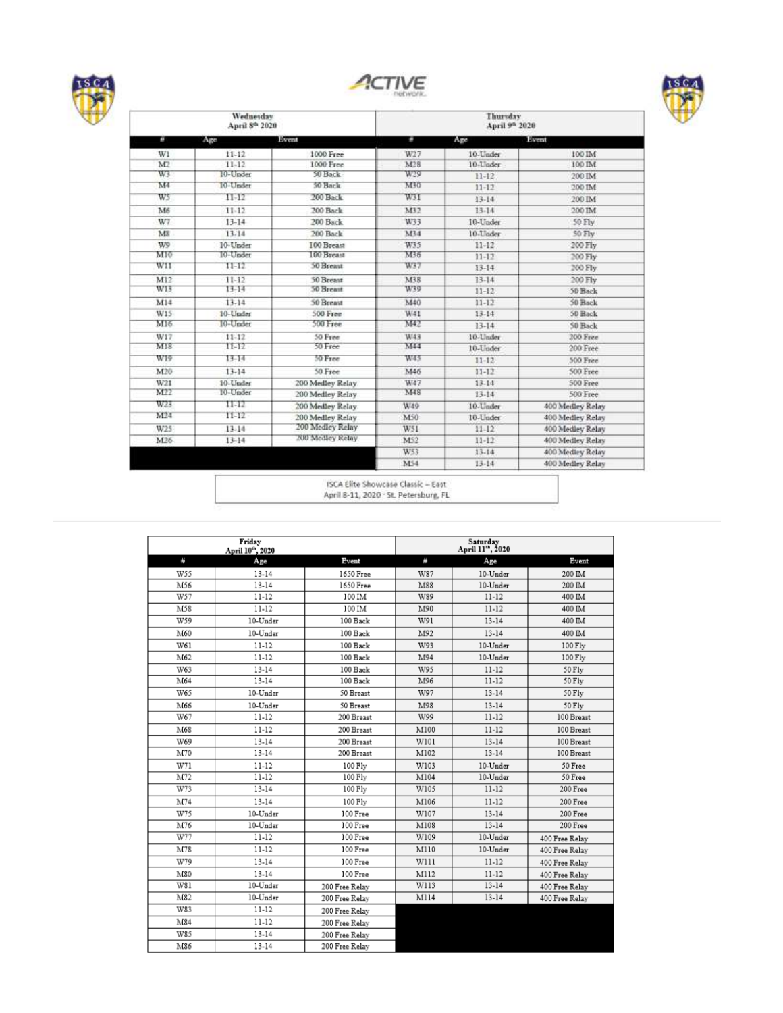





| Wednesday<br>April 8th 2020 |           |                  |     |           |                  |  |
|-----------------------------|-----------|------------------|-----|-----------|------------------|--|
| п                           | Age       | Event            | ø   | Age       | Event            |  |
| Wi                          | $11 - 12$ | 1000 Free        | W27 | 10-Under  | 100 IM           |  |
| M2                          | $11 - 12$ | 1000 Free        | M28 | 10-Under  | 100 IM           |  |
| W3.                         | 10-Under  | 50 Back          | W29 | $11 - 12$ | 200 IM           |  |
| M <sub>4</sub>              | 10-Under  | 50 Back          | M30 | $11 - 12$ | 200 IM           |  |
| W5                          | $11 - 12$ | 200 Back         | W3I | $13 - 14$ | 200 IM           |  |
| M6                          | $11 - 12$ | 200 Back         | M32 | $13 - 14$ | 200 IM           |  |
| W7                          | $13 - 14$ | 200 Back         | W33 | 10-Under  | 50 Fly           |  |
| Ms                          | 13-14     | 200 Back         | M34 | 10-Under  | 50 Fly           |  |
| W9                          | 10-Under  | 100 Breast       | W35 | $11 - 12$ | 200 Fly          |  |
| MIO                         | 10-Under  | 100 Breast       | M36 | $11 - 12$ | 200 Fly.         |  |
| W11                         | 11-12     | 50 Breast        | W37 | $13 - 14$ | 200 Fly          |  |
| M12                         | $11 - 12$ | 50 Breast        | M38 | $13 - 14$ | 200 Fly          |  |
| W13                         | $13 - 14$ | 50 Breast        | W39 | $11 - 12$ | 50 Back          |  |
| M14                         | $13-14$   | 50 Breast        | M40 | $11 - 12$ | 50 Back          |  |
| W15                         | 10-Under  | 500 Free         | W41 | $13-14$   | 50 Back          |  |
| M16                         | 10-Under  | 500 Free         | M42 | $13 - 14$ | 50 Back          |  |
| W17                         | $11 - 12$ | 50 Free          | W43 | 10-Under  | 200 Free         |  |
| M18                         | $11 - 12$ | 50 Free          | M44 | 10-Under  | 200 Free         |  |
| W19                         | $13 - 14$ | 50 Free          | W45 | $11 - 12$ | 500 Free         |  |
| M20                         | $13-14$   | 50 Free          | M46 | $11 - 12$ | 500 Free         |  |
| W21                         | 10-Under  | 200 Medley Relay | W47 | $13 - 14$ | 500 Free         |  |
| MT2                         | 10-Under  | 200 Medley Relay | M48 | $13 - 14$ | 500 Free         |  |
| W23                         | $11-12$   | 200 Medley Relay | W49 | 10-Under  | 400 Medley Relay |  |
| M24                         | $11 - 12$ | 200 Medley Relay | M50 | 10-Under  | 400 Medley Relay |  |
| W25                         | 13-14     | 200 Medley Relay | W51 | $11 - 12$ | 400 Mediev Relay |  |
| M26                         | $13 - 14$ | 200 Medley Relay | M52 | $11 - 12$ | 400 Medley Relay |  |
|                             |           |                  | W53 | $13 - 14$ | 400 Medley Relay |  |
|                             |           |                  | M54 | $13-14$   | 400 Medley Relay |  |
|                             |           |                  |     |           |                  |  |

ISCA Elite Showcase Classic - East April 8-11, 2020 · St. Petersburg, FL

|     | Friday<br>April 10th, 2020 |                |      | Saturday<br>April 11th, 2020 |                |
|-----|----------------------------|----------------|------|------------------------------|----------------|
| #   | Age                        | Event          | ₩    | Age                          | Event          |
| W55 | $13 - 14$                  | 1650 Free      | W87  | 10-Under                     | 200 IM         |
| M56 | $13 - 14$                  | 1650 Free      | M88  | 10-Under                     | 200 IM         |
| W57 | 11-12                      | 100 IM         | W89  | 11-12                        | 400 IM         |
| M58 | $11-12$                    | 100 IM         | M90  | 11-12                        | 400 IM         |
| W59 | 10-Under                   | 100 Back       | W91  | $13 - 14$                    | 400 IM         |
| M60 | $10$ -Under                | 100 Back       | M92  | $13 - 14$                    | 400 IM         |
| W61 | $11-12$                    | 100 Back       | W93  | 10-Under                     | 100 Fly        |
| M62 | $11-12$                    | 100 Back       | M94  | 10-Under                     | 100 Fly        |
| W63 | $13 - 14$                  | 100 Back       | W95  | 11-12                        | 50 Fly         |
| M64 | $13 - 14$                  | 100 Back       | M96  | $11 - 12$                    | 50 Fly         |
| W65 | 10-Under                   | 50 Breast      | W97  | $13 - 14$                    | 50 Fly         |
| M66 | 10-Under                   | 50 Breast      | M98  | $13-14$                      | 50 Fly         |
| W67 | $11-12$                    | 200 Breast     | W99  | $11 - 12$                    | 100 Breast     |
| M68 | $11 - 12$                  | 200 Breast     | M100 | 11-12                        | 100 Breast     |
| W69 | $13 - 14$                  | 200 Breast     | W101 | $13 - 14$                    | 100 Breast     |
| M70 | $13 - 14$                  | 200 Breast     | M102 | $13 - 14$                    | 100 Breast     |
| W71 | 11-12                      | 100 Fly        | W103 | 10-Under                     | 50 Free        |
| M72 | 11-12                      | $100$ Fly      | M104 | 10-Under                     | 50 Free        |
| W73 | $13 - 14$                  | $100$ Fly      | W105 | 11-12                        | 200 Free       |
| M74 | $13 - 14$                  | $100$ Fly      | M106 | 11-12                        | 200 Free       |
| W75 | 10-Under                   | 100 Free       | W107 | $13 - 14$                    | 200 Free       |
| M76 | 10-Under                   | 100 Free       | M108 | $13 - 14$                    | 200 Free       |
| W77 | $11-12$                    | 100 Free       | W109 | 10-Under                     | 400 Free Relay |
| M78 | $11-12$                    | 100 Free       | M110 | 10-Under                     | 400 Free Relay |
| W79 | $13 - 14$                  | 100 Free       | W111 | 11-12                        | 400 Free Relay |
| M80 | $13 - 14$                  | 100 Free       | M112 | 11-12                        | 400 Free Relay |
| W81 | 10-Under                   | 200 Free Relay | W113 | $13 - 14$                    | 400 Free Relay |
| M82 | $10$ -Under                | 200 Free Relay | M114 | $13 - 14$                    | 400 Free Relay |
| W83 | $11-12$                    | 200 Free Relay |      |                              |                |
| M84 | $11-12$                    | 200 Free Relay |      |                              |                |
| W85 | $13 - 14$                  | 200 Free Relay |      |                              |                |
| M86 | $13 - 14$                  | 200 Free Relay |      |                              |                |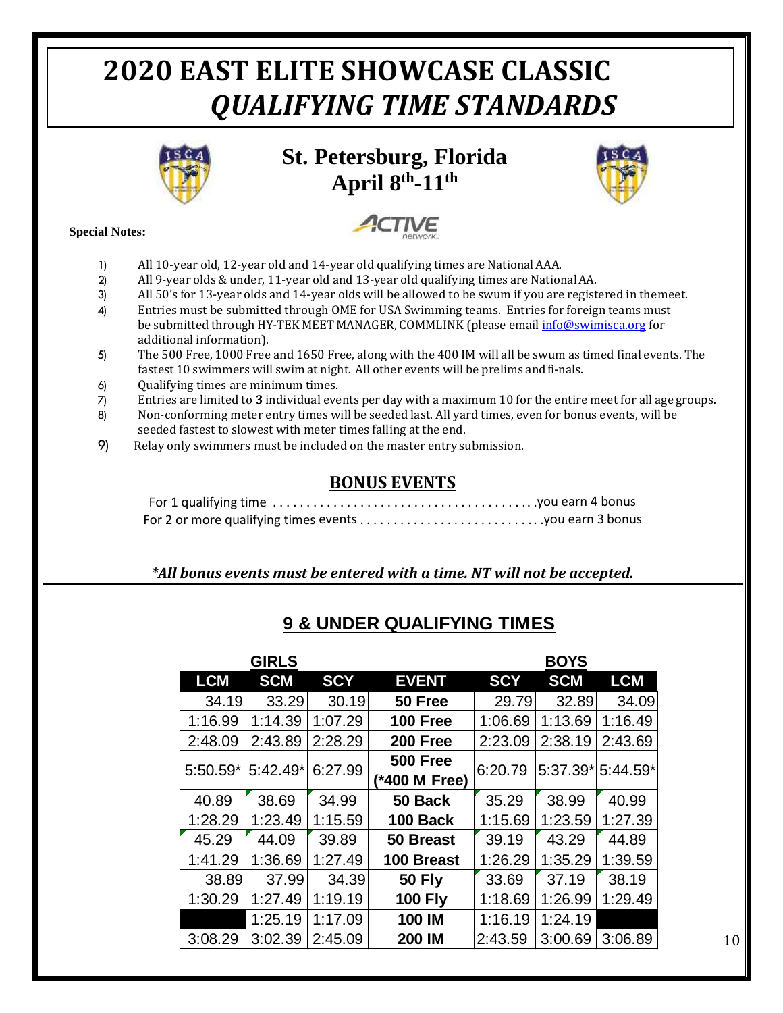## **2020 EAST ELITE SHOWCASE CLASSIC** *QUALIFYING TIME STANDARDS*



**St. Petersburg, Florida April 8th -11th** 

**CTIVE** 



#### **Special Notes:**

- 1) All 10-year old, 12-year old and 14-year old qualifying times are NationalAAA.
- 2) All 9-year olds & under, 11-year old and 13-year old qualifying times are NationalAA.
- 3) All 50's for 13-year olds and 14-year olds will be allowed to be swum if you are registered in themeet.
- 4) Entries must be submitted through OME for USA Swimming teams. Entries for foreign teams must be submitted through HY-TEK MEET MANAGER, COMMLINK (please email [info@swimisca.org](mailto:info@swimisca.org) for additional information).
- 5) The 500 Free, 1000 Free and 1650 Free, along with the 400 IM will all be swum as timed final events. The fastest 10 swimmers will swim at night. All other events will be prelims andfi-nals.
- 6) Qualifying times are minimum times.
- 7) Entries are limited to **3** individual events per day with a maximum 10 for the entire meet for all age groups.
- 8) Non-conforming meter entry times will be seeded last. All yard times, even for bonus events, will be seeded fastest to slowest with meter times falling at the end.
- 9) Relay only swimmers must be included on the master entry submission.

### **BONUS EVENTS**

### *\*All bonus events must be entered with a time. NT will not be accepted.*

|            | <b>GIRLS</b> |            |                 |            | <b>BOYS</b>       |            |
|------------|--------------|------------|-----------------|------------|-------------------|------------|
| <b>LCM</b> | <b>SCM</b>   | <b>SCY</b> | <b>EVENT</b>    | <b>SCY</b> | <b>SCM</b>        | <b>LCM</b> |
| 34.19      | 33.29        | 30.19      | 50 Free         | 29.79      | 32.89             | 34.09      |
| 1:16.99    | 1:14.39      | 1:07.29    | <b>100 Free</b> | 1:06.69    | 1:13.69           | 1:16.49    |
| 2:48.09    | 2:43.89      | 2:28.29    | 200 Free        | 2:23.09    | 2:38.19           | 2:43.69    |
| 5:50.59*   | $5:42.49*$   | 6:27.99    | <b>500 Free</b> | 6:20.79    | 5:37.39*15:44.59* |            |
|            |              |            | (*400 M Free)   |            |                   |            |
| 40.89      | 38.69        | 34.99      | 50 Back         | 35.29      | 38.99             | 40.99      |
| 1:28.29    | 1:23.49      | 1:15.59    | 100 Back        | 1:15.69    | 1:23.59           | 1:27.39    |
| 45.29      | 44.09        | 39.89      | 50 Breast       | 39.19      | 43.29             | 44.89      |
| 1:41.29    | 1:36.69      | 1:27.49    | 100 Breast      | 1:26.29    | 1:35.29           | 1:39.59    |
| 38.89      | 37.99        | 34.39      | <b>50 Fly</b>   | 33.69      | 37.19             | 38.19      |
| 1:30.29    | 1:27.49      | 1:19.19    | <b>100 Fly</b>  | 1:18.69    | 1:26.99           | 1:29.49    |
|            | 1:25.19      | 1:17.09    | 100 IM          | 1:16.19    | 1:24.19           |            |
| 3:08.29    | 3:02.39      | 2:45.09    | 200 IM          | 2:43.59    | 3:00.69           | 3:06.89    |
|            |              |            |                 |            |                   |            |

### **9 & UNDER QUALIFYING TIMES**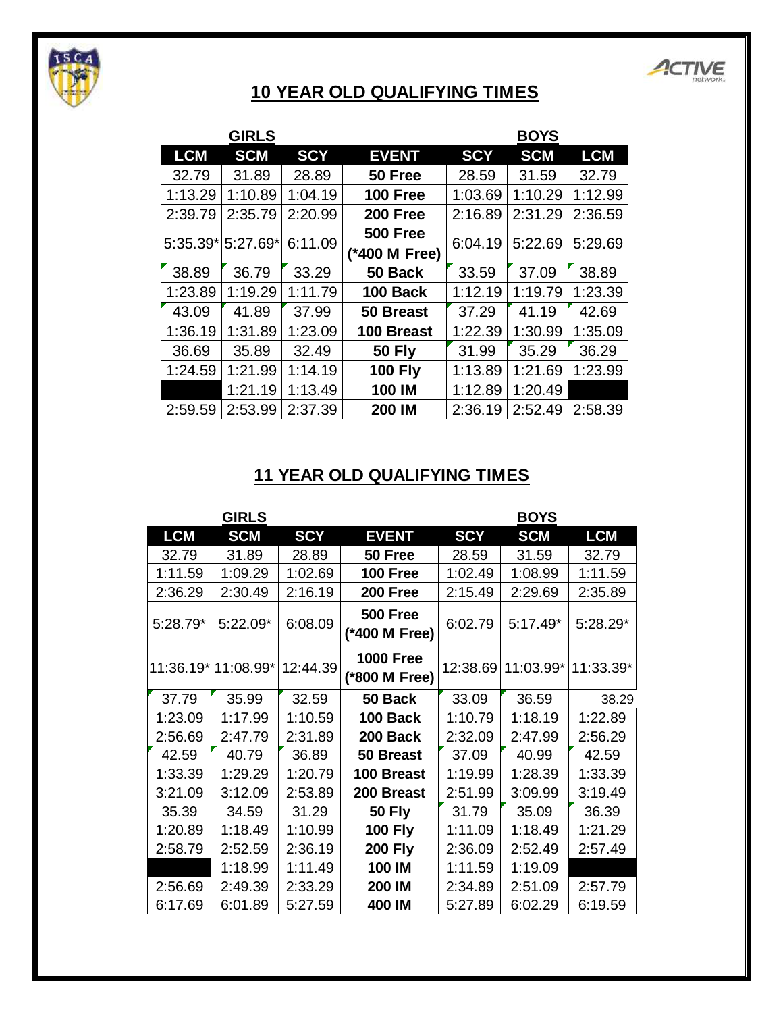

## **10 YEAR OLD QUALIFYING TIMES**

ACTIVE

|            | <b>GIRLS</b>      |            |                 |            | <b>BOYS</b> |            |
|------------|-------------------|------------|-----------------|------------|-------------|------------|
| <b>LCM</b> | <b>SCM</b>        | <b>SCY</b> | <b>EVENT</b>    | <b>SCY</b> | <b>SCM</b>  | <b>LCM</b> |
| 32.79      | 31.89             | 28.89      | 50 Free         | 28.59      | 31.59       | 32.79      |
| 1:13.29    | 1:10.89           | 1:04.19    | <b>100 Free</b> | 1:03.69    | 1:10.29     | 1:12.99    |
| 2:39.79    | 2:35.79           | 2:20.99    | 200 Free        | 2:16.89    | 2:31.29     | 2:36.59    |
|            | 5:35.39* 5:27.69* |            | <b>500 Free</b> | 6:04.19    | 5:22.69     | 5:29.69    |
|            |                   | 6:11.09    | (*400 M Free)   |            |             |            |
| 38.89      | 36.79             | 33.29      | 50 Back         | 33.59      | 37.09       | 38.89      |
| 1:23.89    | 1:19.29           | 1:11.79    | 100 Back        | 1:12.19    | 1:19.79     | 1:23.39    |
| 43.09      | 41.89             | 37.99      | 50 Breast       | 37.29      | 41.19       | 42.69      |
| 1:36.19    | 1:31.89           | 1:23.09    | 100 Breast      | 1:22.39    | 1:30.99     | 1:35.09    |
| 36.69      | 35.89             | 32.49      | <b>50 Fly</b>   | 31.99      | 35.29       | 36.29      |
| 1:24.59    | 1:21.99           | 1:14.19    | <b>100 Fly</b>  | 1:13.89    | 1:21.69     | 1:23.99    |
|            | 1:21.19           | 1:13.49    | 100 IM          | 1:12.89    | 1:20.49     |            |
| 2:59.59    | 2:53.99           | 2:37.39    | 200 IM          | 2:36.19    | 2:52.49     | 2:58.39    |
|            |                   |            |                 |            |             |            |

### **11 YEAR OLD QUALIFYING TIMES**

| <b>LCM</b><br><b>LCM</b><br><b>SCM</b><br><b>SCY</b><br><b>SCY</b><br><b>EVENT</b><br><b>SCM</b><br>32.79<br>31.89<br>28.89<br>50 Free<br>28.59<br>31.59<br>32.79<br>1:11.59<br>1:09.29<br>1:02.69<br>1:02.49<br>1:08.99<br>1:11.59<br><b>100 Free</b><br>2:36.29<br>2:16.19<br>200 Free<br>2:15.49<br>2:30.49<br>2:29.69<br>2:35.89<br><b>500 Free</b><br>5:28.79*<br>5:22.09*<br>6:08.09<br>6:02.79<br>$5:17.49*$<br>$5:28.29*$<br>(*400 M Free)<br><b>1000 Free</b><br>11:36.19* 11:08.99* 12:44.39<br>12:38.69 11:03.99*<br>(*800 M Free)<br>37.79<br>35.99<br>32.59<br>33.09<br>36.59<br>50 Back | <b>GIRLS</b> |  | <b>BOYS</b> |  |  |           |
|-------------------------------------------------------------------------------------------------------------------------------------------------------------------------------------------------------------------------------------------------------------------------------------------------------------------------------------------------------------------------------------------------------------------------------------------------------------------------------------------------------------------------------------------------------------------------------------------------------|--------------|--|-------------|--|--|-----------|
|                                                                                                                                                                                                                                                                                                                                                                                                                                                                                                                                                                                                       |              |  |             |  |  |           |
|                                                                                                                                                                                                                                                                                                                                                                                                                                                                                                                                                                                                       |              |  |             |  |  |           |
|                                                                                                                                                                                                                                                                                                                                                                                                                                                                                                                                                                                                       |              |  |             |  |  |           |
|                                                                                                                                                                                                                                                                                                                                                                                                                                                                                                                                                                                                       |              |  |             |  |  |           |
|                                                                                                                                                                                                                                                                                                                                                                                                                                                                                                                                                                                                       |              |  |             |  |  |           |
|                                                                                                                                                                                                                                                                                                                                                                                                                                                                                                                                                                                                       |              |  |             |  |  | 11:33.39* |
|                                                                                                                                                                                                                                                                                                                                                                                                                                                                                                                                                                                                       |              |  |             |  |  | 38.29     |
| 100 Back<br>1:18.19<br>1:23.09<br>1:17.99<br>1:10.59<br>1:10.79<br>1:22.89                                                                                                                                                                                                                                                                                                                                                                                                                                                                                                                            |              |  |             |  |  |           |
| 2:56.69<br>2:47.79<br>2:31.89<br>200 Back<br>2:32.09<br>2:47.99<br>2:56.29                                                                                                                                                                                                                                                                                                                                                                                                                                                                                                                            |              |  |             |  |  |           |
| 42.59<br>37.09<br>40.79<br>36.89<br>50 Breast<br>40.99<br>42.59                                                                                                                                                                                                                                                                                                                                                                                                                                                                                                                                       |              |  |             |  |  |           |
| 1:33.39<br>1:29.29<br>1:20.79<br>100 Breast<br>1:28.39<br>1:19.99<br>1:33.39                                                                                                                                                                                                                                                                                                                                                                                                                                                                                                                          |              |  |             |  |  |           |
| 3:21.09<br>3:12.09<br>2:53.89<br>2:51.99<br>200 Breast<br>3:09.99<br>3:19.49                                                                                                                                                                                                                                                                                                                                                                                                                                                                                                                          |              |  |             |  |  |           |
| <b>50 Fly</b><br>31.79<br>36.39<br>35.39<br>34.59<br>31.29<br>35.09                                                                                                                                                                                                                                                                                                                                                                                                                                                                                                                                   |              |  |             |  |  |           |
| 1:20.89<br>1:10.99<br><b>100 Fly</b><br>1:11.09<br>1:18.49<br>1:18.49<br>1:21.29                                                                                                                                                                                                                                                                                                                                                                                                                                                                                                                      |              |  |             |  |  |           |
| <b>200 Fly</b><br>2:36.19<br>2:57.49<br>2:58.79<br>2:52.59<br>2:36.09<br>2:52.49                                                                                                                                                                                                                                                                                                                                                                                                                                                                                                                      |              |  |             |  |  |           |
| 1:18.99<br>1:11.49<br>100 IM<br>1:11.59<br>1:19.09                                                                                                                                                                                                                                                                                                                                                                                                                                                                                                                                                    |              |  |             |  |  |           |
| 2:56.69<br>2:57.79<br>2:49.39<br>2:33.29<br>200 IM<br>2:34.89<br>2:51.09                                                                                                                                                                                                                                                                                                                                                                                                                                                                                                                              |              |  |             |  |  |           |
| 6:17.69<br>6:01.89<br>5:27.59<br>400 IM<br>5:27.89<br>6:02.29<br>6:19.59                                                                                                                                                                                                                                                                                                                                                                                                                                                                                                                              |              |  |             |  |  |           |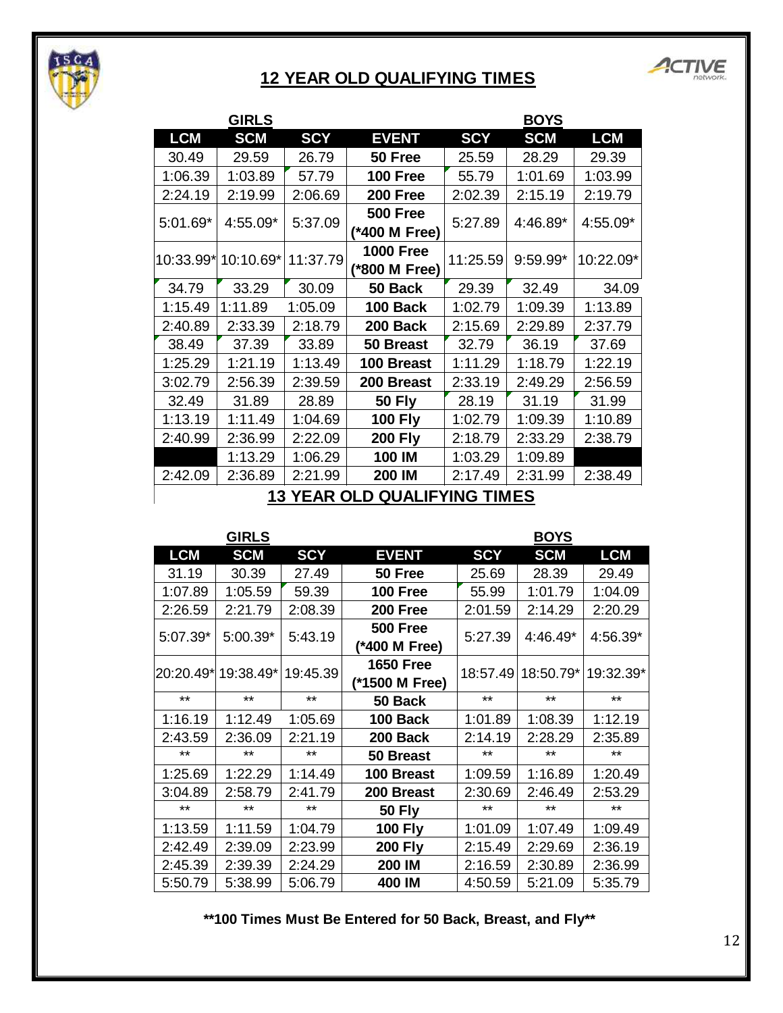

### **12 YEAR OLD QUALIFYING TIMES**



|                                     | <b>GIRLS</b>        |            |                  | <b>BOYS</b> |            |            |  |
|-------------------------------------|---------------------|------------|------------------|-------------|------------|------------|--|
| <b>LCM</b>                          | <b>SCM</b>          | <b>SCY</b> | <b>EVENT</b>     | <b>SCY</b>  | <b>SCM</b> | <b>LCM</b> |  |
| 30.49                               | 29.59               | 26.79      | 50 Free          | 25.59       | 28.29      | 29.39      |  |
| 1:06.39                             | 1:03.89             | 57.79      | <b>100 Free</b>  | 55.79       | 1:01.69    | 1:03.99    |  |
| 2:24.19                             | 2:19.99             | 2:06.69    | 200 Free         | 2:02.39     | 2:15.19    | 2:19.79    |  |
| $5:01.69*$                          | 4:55.09*            | 5:37.09    | <b>500 Free</b>  | 5:27.89     | 4:46.89*   | 4:55.09*   |  |
|                                     |                     |            | (*400 M Free)    |             |            |            |  |
|                                     | 10:33.99* 10:10.69* | 11:37.79   | <b>1000 Free</b> | 11:25.59    | $9:59.99*$ | 10:22.09*  |  |
|                                     |                     |            | (*800 M Free)    |             |            |            |  |
| 34.79                               | 33.29               | 30.09      | 50 Back          | 29.39       | 32.49      | 34.09      |  |
| 1:15.49                             | 1:11.89             | 1:05.09    | 100 Back         | 1:02.79     | 1:09.39    | 1:13.89    |  |
| 2:40.89                             | 2:33.39             | 2:18.79    | 200 Back         | 2:15.69     | 2:29.89    | 2:37.79    |  |
| 38.49                               | 37.39               | 33.89      | 50 Breast        | 32.79       | 36.19      | 37.69      |  |
| 1:25.29                             | 1:21.19             | 1:13.49    | 100 Breast       | 1:11.29     | 1:18.79    | 1:22.19    |  |
| 3:02.79                             | 2:56.39             | 2:39.59    | 200 Breast       | 2:33.19     | 2:49.29    | 2:56.59    |  |
| 32.49                               | 31.89               | 28.89      | <b>50 Fly</b>    | 28.19       | 31.19      | 31.99      |  |
| 1:13.19                             | 1:11.49             | 1:04.69    | <b>100 Fly</b>   | 1:02.79     | 1:09.39    | 1:10.89    |  |
| 2:40.99                             | 2:36.99             | 2:22.09    | <b>200 Fly</b>   | 2:18.79     | 2:33.29    | 2:38.79    |  |
|                                     | 1:13.29             | 1:06.29    | 100 IM           | 1:03.29     | 1:09.89    |            |  |
| 2:42.09                             | 2:36.89             | 2:21.99    | 200 IM           | 2:17.49     | 2:31.99    | 2:38.49    |  |
| <b>13 YEAR OLD QUALIFYING TIMES</b> |                     |            |                  |             |            |            |  |

| <b>LCM</b>         | <b>SCM</b>                   | <b>SCY</b>         | <b>EVENT</b>                        | <b>SCY</b>         | <b>SCM</b>                   | <b>LCM</b>         |
|--------------------|------------------------------|--------------------|-------------------------------------|--------------------|------------------------------|--------------------|
| 30.49              | 29.59                        | 26.79              | 50 Free                             | 25.59              | 28.29                        | 29.39              |
| 1:06.39            | 1:03.89                      | 57.79              | 100 Free                            | 55.79              | 1:01.69                      | 1:03.99            |
| 2:24.19            | 2:19.99                      | 2:06.69            | 200 Free                            | 2:02.39            | 2:15.19                      | 2:19.79            |
| 5:01.69*           | 4:55.09*                     | 5:37.09            | <b>500 Free</b><br>(*400 M Free)    | 5:27.89            | 4:46.89*                     | 4:55.09*           |
|                    | 10:33.99* 10:10.69* 11:37.79 |                    | <b>1000 Free</b><br>(*800 M Free)   | 11:25.59           | $9:59.99*$                   | 10:22.09*          |
| 34.79              | 33.29                        | 30.09              | 50 Back                             | 29.39              | 32.49                        | 34.09              |
| 1:15.49            | 1:11.89                      | 1:05.09            | 100 Back                            | 1:02.79            | 1:09.39                      | 1:13.89            |
| 2:40.89            | 2:33.39                      | 2:18.79            | 200 Back                            | 2:15.69            | 2:29.89                      | 2:37.79            |
| 38.49              | 37.39                        | 33.89              | 50 Breast                           | 32.79              | 36.19                        | 37.69              |
| 1:25.29            | 1:21.19                      | 1:13.49            | 100 Breast                          | 1:11.29            | 1:18.79                      | 1:22.19            |
| 3:02.79            | 2:56.39                      | 2:39.59            | 200 Breast                          | 2:33.19            | 2:49.29                      | 2:56.59            |
| 32.49              | 31.89                        | 28.89              | <b>50 Fly</b>                       | 28.19              | 31.19                        | 31.99              |
| 1:13.19            | 1:11.49                      | 1:04.69            | <b>100 Fly</b>                      | 1:02.79            | 1:09.39                      | 1:10.89            |
| 2:40.99            | 2:36.99                      | 2:22.09            | <b>200 Fly</b>                      | 2:18.79            | 2:33.29                      | 2:38.79            |
|                    | 1:13.29                      | 1:06.29            | 100 IM                              | 1:03.29            | 1:09.89                      |                    |
|                    | 2:36.89                      | 2:21.99            | 200 IM                              | 2:17.49            | 2:31.99                      | 2:38.49            |
| 2:42.09            |                              |                    |                                     |                    |                              |                    |
|                    | <b>GIRLS</b>                 |                    | <b>13 YEAR OLD QUALIFYING TIMES</b> |                    | <b>BOYS</b>                  |                    |
| <b>LCM</b>         | <b>SCM</b>                   | <b>SCY</b>         | <b>EVENT</b>                        | <b>SCY</b>         | <b>SCM</b>                   | <b>LCM</b>         |
| 31.19              | 30.39                        | 27.49              | 50 Free                             | 25.69              | 28.39                        | 29.49              |
| 1:07.89            | 1:05.59                      | 59.39              | 100 Free                            | 55.99              | 1:01.79                      | 1:04.09            |
| 2:26.59            | 2:21.79                      | 2:08.39            | 200 Free                            | 2:01.59            | 2:14.29                      | 2:20.29            |
| 5:07.39*           | $5:00.39*$                   | 5:43.19            | <b>500 Free</b><br>(*400 M Free)    | 5:27.39            | 4:46.49*                     | 4:56.39*           |
|                    | 20:20.49* 19:38.49* 19:45.39 |                    | <b>1650 Free</b><br>(*1500 M Free)  |                    | 18:57.49 18:50.79* 19:32.39* |                    |
| $***$              | **                           | $***$              | 50 Back                             | $***$              | $***$                        | $***$              |
| 1:16.19            | 1:12.49                      | 1:05.69            | 100 Back                            | 1:01.89            | 1:08.39                      | 1:12.19            |
| 2:43.59            | 2:36.09                      | 2:21.19            | 200 Back                            | 2:14.19            | 2:28.29                      | 2:35.89            |
| $***$              | $***$                        | $***$              | 50 Breast                           | $***$              | $***$                        | $***$              |
| 1:25.69            | 1:22.29                      | 1:14.49            | 100 Breast                          | 1:09.59            | 1:16.89                      | 1:20.49            |
| 3:04.89            | 2:58.79                      | 2:41.79            | 200 Breast                          | 2:30.69            | 2:46.49                      | 2:53.29            |
| $***$              | $***$                        | $***$              | <b>50 Fly</b>                       | $***$              | **                           | $***$              |
| 1:13.59            | 1:11.59                      | 1:04.79            | <b>100 Fly</b>                      | 1:01.09            | 1:07.49                      | 1:09.49            |
| 2:42.49            | 2:39.09                      | 2:23.99            | <b>200 Fly</b>                      | 2:15.49            | 2:29.69                      | 2:36.19            |
| 2:45.39<br>5:50.79 | 2:39.39<br>5:38.99           | 2:24.29<br>5:06.79 | 200 IM<br>400 IM                    | 2:16.59<br>4:50.59 | 2:30.89<br>5:21.09           | 2:36.99<br>5:35.79 |